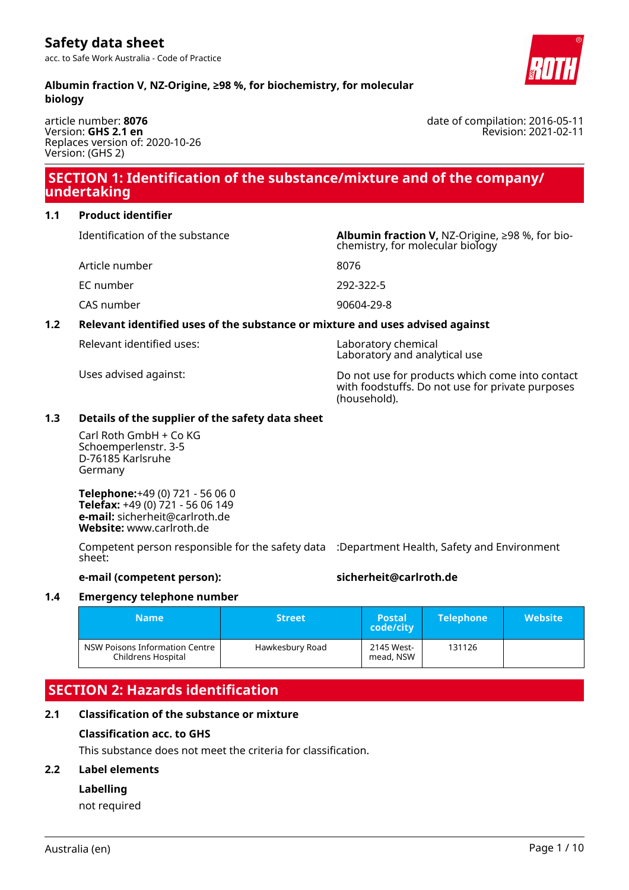#### **Albumin fraction V, NZ-Origine, ≥98 %, for biochemistry, for molecular biology**

article number: **8076** Version: **GHS 2.1 en** Replaces version of: 2020-10-26 Version: (GHS 2)

# **SECTION 1: Identification of the substance/mixture and of the company/ undertaking**

### **1.1 Product identifier**

Identification of the substance **Albumin fraction V,** NZ-Origine, ≥98 %, for bio-

Article number 8076

EC number 292-322-5

CAS number 90604-29-8

# **1.2 Relevant identified uses of the substance or mixture and uses advised against**

Relevant identified uses: Laboratory chemical

Uses advised against: Do not use for products which come into contact with foodstuffs. Do not use for private purposes (household).

chemistry, for molecular biology

Laboratory and analytical use

### **1.3 Details of the supplier of the safety data sheet**

Carl Roth GmbH + Co KG Schoemperlenstr. 3-5 D-76185 Karlsruhe Germany

**Telephone:**+49 (0) 721 - 56 06 0 **Telefax:** +49 (0) 721 - 56 06 149 **e-mail:** sicherheit@carlroth.de **Website:** www.carlroth.de

Competent person responsible for the safety data :Department Health, Safety and Environment sheet:

#### **e-mail (competent person): sicherheit@carlroth.de**

# **1.4 Emergency telephone number**

| <b>Name</b>                                            | <b>Street</b>   | <b>Postal</b><br>code/city | <b>Telephone</b> | Website' |
|--------------------------------------------------------|-----------------|----------------------------|------------------|----------|
| NSW Poisons Information Centre 1<br>Childrens Hospital | Hawkesbury Road | 2145 West-<br>mead, NSW    | 131126           |          |

# **SECTION 2: Hazards identification**

#### **2.1 Classification of the substance or mixture**

#### **Classification acc. to GHS**

This substance does not meet the criteria for classification.

#### **2.2 Label elements**

#### **Labelling**

not required



date of compilation: 2016-05-11 Revision: 2021-02-11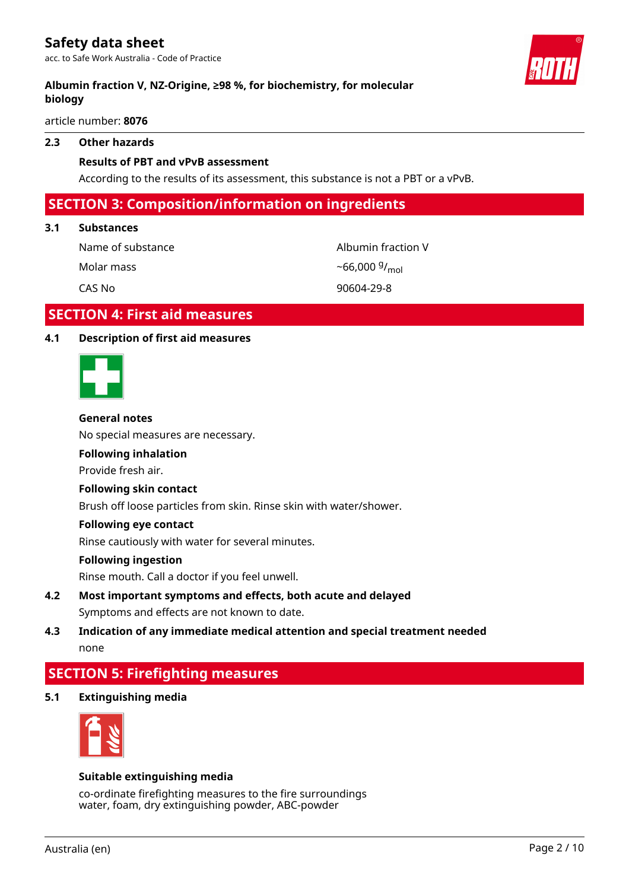### **Albumin fraction V, NZ-Origine, ≥98 %, for biochemistry, for molecular biology**

article number: **8076**

#### **2.3 Other hazards**

#### **Results of PBT and vPvB assessment**

According to the results of its assessment, this substance is not a PBT or a vPvB.

# **SECTION 3: Composition/information on ingredients**

#### **3.1 Substances**

Name of substance and albumin fraction V

Molar mass

 $-66,000\frac{9}{mol}$ 

CAS No 90604-29-8

# **SECTION 4: First aid measures**

#### **4.1 Description of first aid measures**

#### **General notes**

No special measures are necessary.

#### **Following inhalation**

Provide fresh air.

#### **Following skin contact**

Brush off loose particles from skin. Rinse skin with water/shower.

#### **Following eye contact**

Rinse cautiously with water for several minutes.

#### **Following ingestion**

Rinse mouth. Call a doctor if you feel unwell.

**4.2 Most important symptoms and effects, both acute and delayed** Symptoms and effects are not known to date.

# **4.3 Indication of any immediate medical attention and special treatment needed** none

# **SECTION 5: Firefighting measures**

**5.1 Extinguishing media**



#### **Suitable extinguishing media**

co-ordinate firefighting measures to the fire surroundings water, foam, dry extinguishing powder, ABC-powder

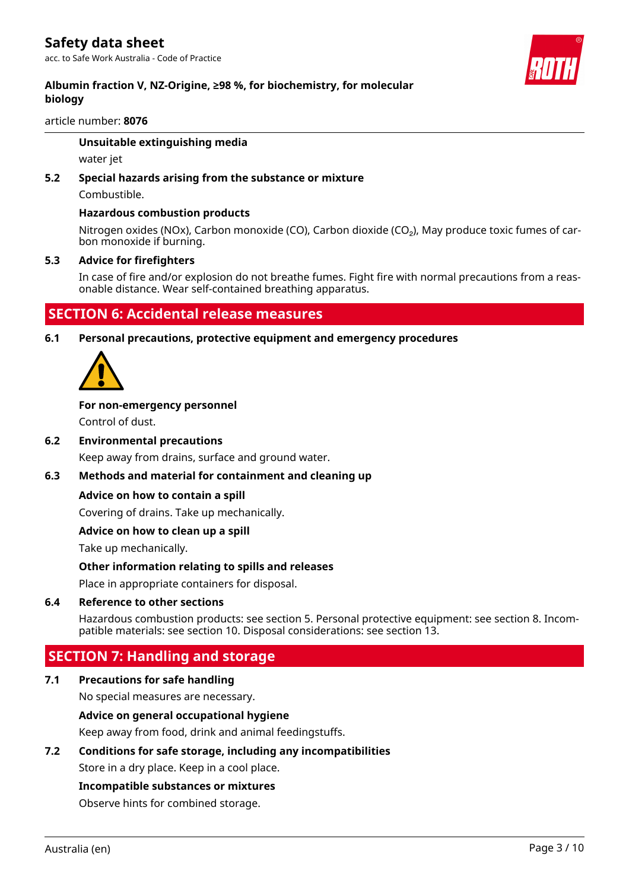#### article number: **8076**

#### **Unsuitable extinguishing media**

water jet

# **5.2 Special hazards arising from the substance or mixture**

Combustible.

#### **Hazardous combustion products**

Nitrogen oxides (NOx), Carbon monoxide (CO), Carbon dioxide (CO<sub>2</sub>), May produce toxic fumes of carbon monoxide if burning.

#### **5.3 Advice for firefighters**

In case of fire and/or explosion do not breathe fumes. Fight fire with normal precautions from a reasonable distance. Wear self-contained breathing apparatus.

# **SECTION 6: Accidental release measures**

**6.1 Personal precautions, protective equipment and emergency procedures**



# **For non-emergency personnel**

Control of dust.

#### **6.2 Environmental precautions**

Keep away from drains, surface and ground water.

#### **6.3 Methods and material for containment and cleaning up**

#### **Advice on how to contain a spill**

Covering of drains. Take up mechanically.

#### **Advice on how to clean up a spill**

Take up mechanically.

#### **Other information relating to spills and releases**

Place in appropriate containers for disposal.

#### **6.4 Reference to other sections**

Hazardous combustion products: see section 5. Personal protective equipment: see section 8. Incompatible materials: see section 10. Disposal considerations: see section 13.

# **SECTION 7: Handling and storage**

#### **7.1 Precautions for safe handling**

No special measures are necessary.

#### **Advice on general occupational hygiene**

Keep away from food, drink and animal feedingstuffs.

#### **7.2 Conditions for safe storage, including any incompatibilities**

Store in a dry place. Keep in a cool place.

#### **Incompatible substances or mixtures**

Observe hints for combined storage.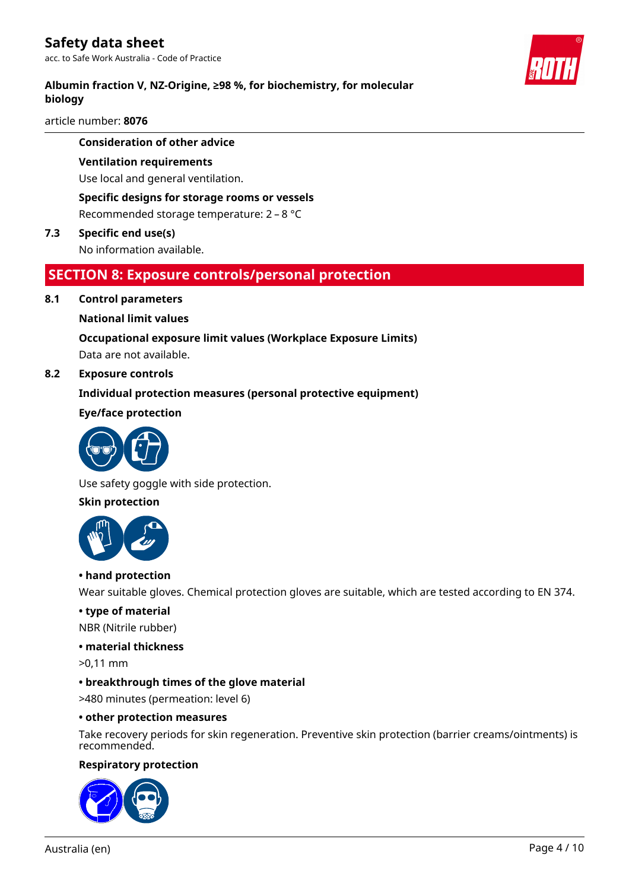# **Albumin fraction V, NZ-Origine, ≥98 %, for biochemistry, for molecular biology**

article number: **8076**

#### **Consideration of other advice**

#### **Ventilation requirements**

Use local and general ventilation.

## **Specific designs for storage rooms or vessels**

Recommended storage temperature: 2 – 8 °C

# **7.3 Specific end use(s)**

No information available.

# **SECTION 8: Exposure controls/personal protection**

#### **8.1 Control parameters**

#### **National limit values**

# **Occupational exposure limit values (Workplace Exposure Limits)**

Data are not available.

### **8.2 Exposure controls**

#### **Individual protection measures (personal protective equipment)**

#### **Eye/face protection**



Use safety goggle with side protection.

#### **Skin protection**



#### **• hand protection**

Wear suitable gloves. Chemical protection gloves are suitable, which are tested according to EN 374.

#### **• type of material**

NBR (Nitrile rubber)

#### **• material thickness**

>0,11 mm

#### **• breakthrough times of the glove material**

>480 minutes (permeation: level 6)

#### **• other protection measures**

Take recovery periods for skin regeneration. Preventive skin protection (barrier creams/ointments) is recommended.

#### **Respiratory protection**



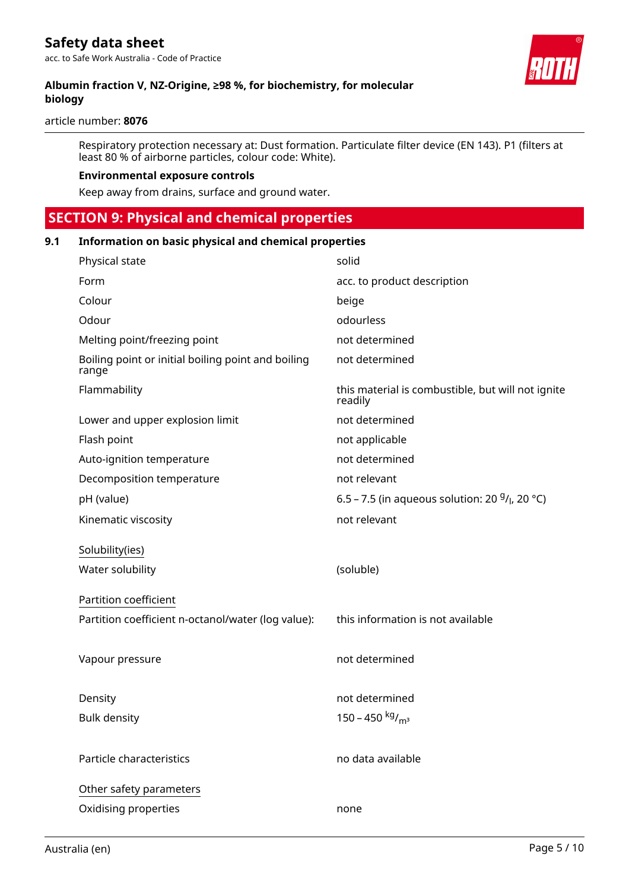article number: **8076**

Respiratory protection necessary at: Dust formation. Particulate filter device (EN 143). P1 (filters at least 80 % of airborne particles, colour code: White).

#### **Environmental exposure controls**

Keep away from drains, surface and ground water.

# **SECTION 9: Physical and chemical properties**

#### **9.1 Information on basic physical and chemical properties**

| Physical state                                              | solid                                                        |
|-------------------------------------------------------------|--------------------------------------------------------------|
| Form                                                        | acc. to product description                                  |
| Colour                                                      | beige                                                        |
| Odour                                                       | odourless                                                    |
| Melting point/freezing point                                | not determined                                               |
| Boiling point or initial boiling point and boiling<br>range | not determined                                               |
| Flammability                                                | this material is combustible, but will not ignite<br>readily |
| Lower and upper explosion limit                             | not determined                                               |
| Flash point                                                 | not applicable                                               |
| Auto-ignition temperature                                   | not determined                                               |
| Decomposition temperature                                   | not relevant                                                 |
| pH (value)                                                  | 6.5 – 7.5 (in aqueous solution: 20 $9/1$ , 20 °C)            |
| Kinematic viscosity                                         | not relevant                                                 |
| Solubility(ies)                                             |                                                              |
| Water solubility                                            | (soluble)                                                    |
| Partition coefficient                                       |                                                              |
| Partition coefficient n-octanol/water (log value):          | this information is not available                            |
|                                                             |                                                              |
| Vapour pressure                                             | not determined                                               |
|                                                             | not determined                                               |
| Density                                                     |                                                              |
| <b>Bulk density</b>                                         | 150 – 450 kg/m <sup>3</sup>                                  |
| Particle characteristics                                    | no data available                                            |
| Other safety parameters                                     |                                                              |
| Oxidising properties                                        | none                                                         |
|                                                             |                                                              |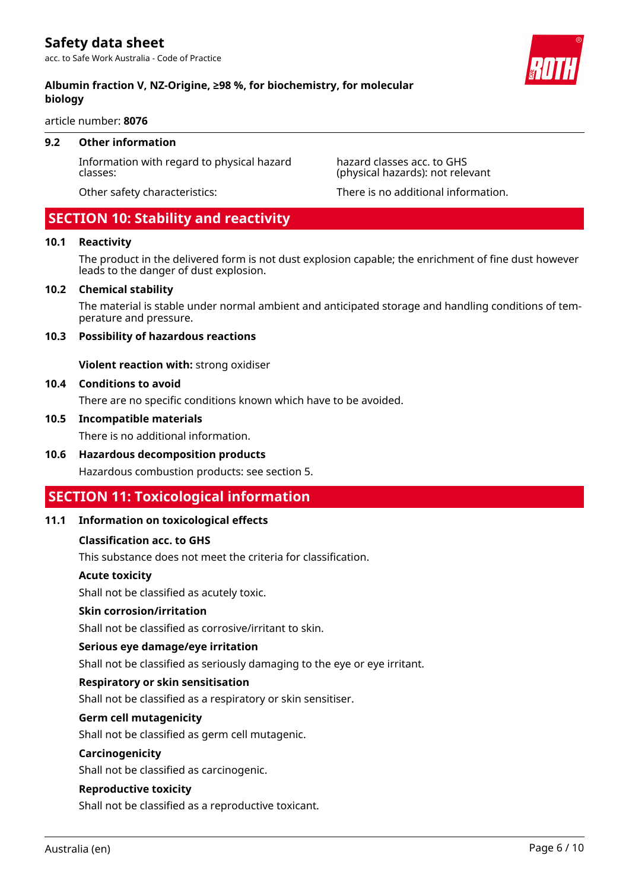article number: **8076**

#### **9.2 Other information**

Information with regard to physical hazard classes:

Other safety characteristics: There is no additional information.

hazard classes acc. to GHS (physical hazards): not relevant

# **SECTION 10: Stability and reactivity**

#### **10.1 Reactivity**

The product in the delivered form is not dust explosion capable; the enrichment of fine dust however leads to the danger of dust explosion.

#### **10.2 Chemical stability**

The material is stable under normal ambient and anticipated storage and handling conditions of temperature and pressure.

#### **10.3 Possibility of hazardous reactions**

**Violent reaction with:** strong oxidiser

#### **10.4 Conditions to avoid**

There are no specific conditions known which have to be avoided.

#### **10.5 Incompatible materials**

There is no additional information.

#### **10.6 Hazardous decomposition products**

Hazardous combustion products: see section 5.

# **SECTION 11: Toxicological information**

#### **11.1 Information on toxicological effects**

#### **Classification acc. to GHS**

This substance does not meet the criteria for classification.

#### **Acute toxicity**

Shall not be classified as acutely toxic.

#### **Skin corrosion/irritation**

Shall not be classified as corrosive/irritant to skin.

#### **Serious eye damage/eye irritation**

Shall not be classified as seriously damaging to the eye or eye irritant.

#### **Respiratory or skin sensitisation**

Shall not be classified as a respiratory or skin sensitiser.

#### **Germ cell mutagenicity**

Shall not be classified as germ cell mutagenic.

#### **Carcinogenicity**

Shall not be classified as carcinogenic.

#### **Reproductive toxicity**

Shall not be classified as a reproductive toxicant.

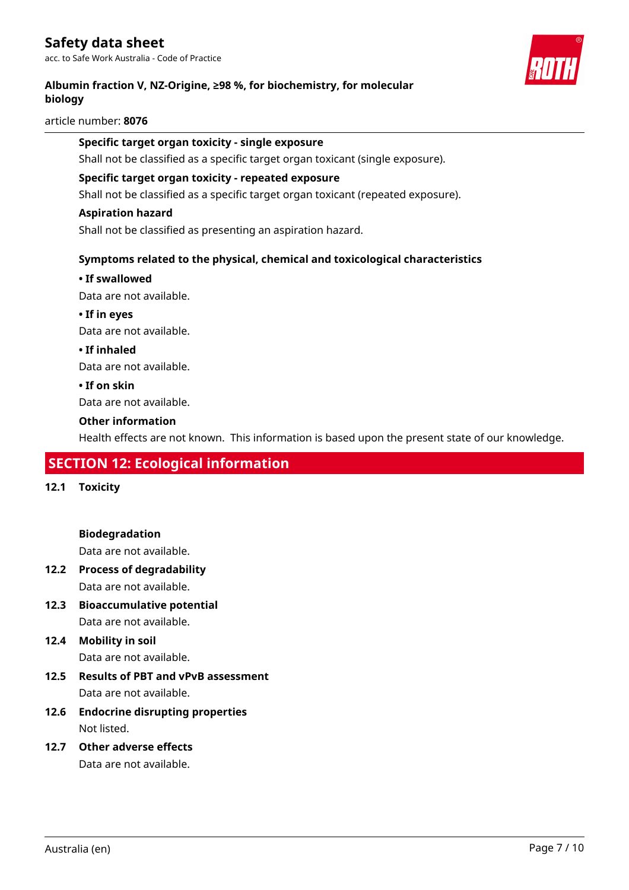# **Safety data sheet**

acc. to Safe Work Australia - Code of Practice

#### **Albumin fraction V, NZ-Origine, ≥98 %, for biochemistry, for molecular biology**

article number: **8076**

#### **Specific target organ toxicity - single exposure**

Shall not be classified as a specific target organ toxicant (single exposure).

#### **Specific target organ toxicity - repeated exposure**

Shall not be classified as a specific target organ toxicant (repeated exposure).

#### **Aspiration hazard**

Shall not be classified as presenting an aspiration hazard.

#### **Symptoms related to the physical, chemical and toxicological characteristics**

#### **• If swallowed**

Data are not available.

**• If in eyes** Data are not available.

**• If inhaled**

Data are not available.

**• If on skin**

Data are not available.

#### **Other information**

Health effects are not known. This information is based upon the present state of our knowledge.

# **SECTION 12: Ecological information**

**12.1 Toxicity**

**Biodegradation**

Data are not available.

- **12.2 Process of degradability** Data are not available.
- **12.3 Bioaccumulative potential** Data are not available.
- **12.4 Mobility in soil**

Data are not available.

- **12.5 Results of PBT and vPvB assessment** Data are not available.
- **12.6 Endocrine disrupting properties** Not listed.
- **12.7 Other adverse effects** Data are not available.

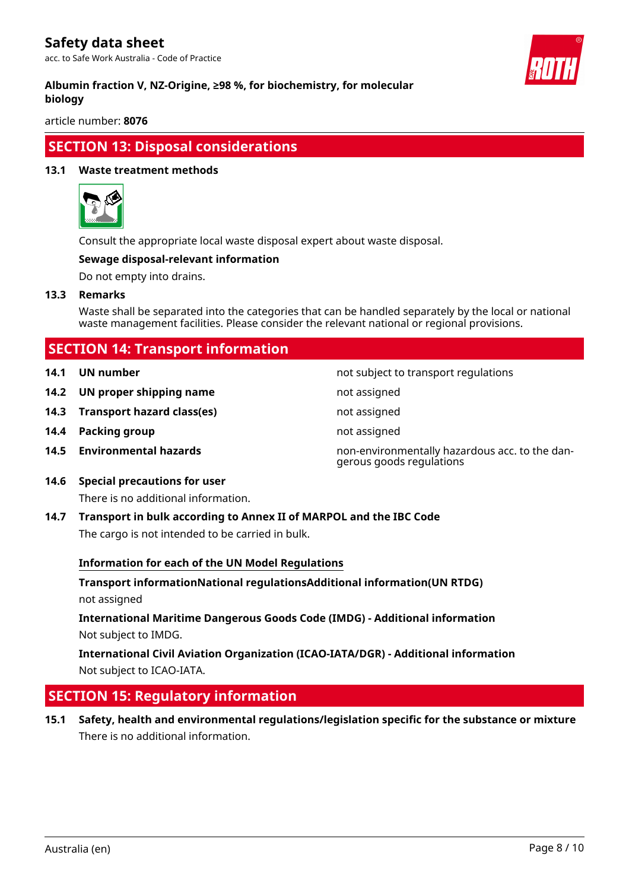# **Safety data sheet**

acc. to Safe Work Australia - Code of Practice



#### **Albumin fraction V, NZ-Origine, ≥98 %, for biochemistry, for molecular biology**

article number: **8076**

# **SECTION 13: Disposal considerations**

#### **13.1 Waste treatment methods**



Consult the appropriate local waste disposal expert about waste disposal.

#### **Sewage disposal-relevant information**

Do not empty into drains.

**13.3 Remarks**

Waste shall be separated into the categories that can be handled separately by the local or national waste management facilities. Please consider the relevant national or regional provisions.

# **SECTION 14: Transport information**

- **14.1 UN number 14.1 UN** number
- **14.2 UN proper shipping name** not assigned
- **14.3 Transport hazard class(es)** not assigned
- **14.4 Packing group not assigned**
- 
- **14.5 Environmental hazards** non-environmentally hazardous acc. to the dangerous goods regulations

**14.6 Special precautions for user**

There is no additional information.

**14.7 Transport in bulk according to Annex II of MARPOL and the IBC Code** The cargo is not intended to be carried in bulk.

#### **Information for each of the UN Model Regulations**

**Transport informationNational regulationsAdditional information(UN RTDG)** not assigned

**International Maritime Dangerous Goods Code (IMDG) - Additional information** Not subject to IMDG.

**International Civil Aviation Organization (ICAO-IATA/DGR) - Additional information** Not subject to ICAO-IATA.

# **SECTION 15: Regulatory information**

**15.1 Safety, health and environmental regulations/legislation specific for the substance or mixture** There is no additional information.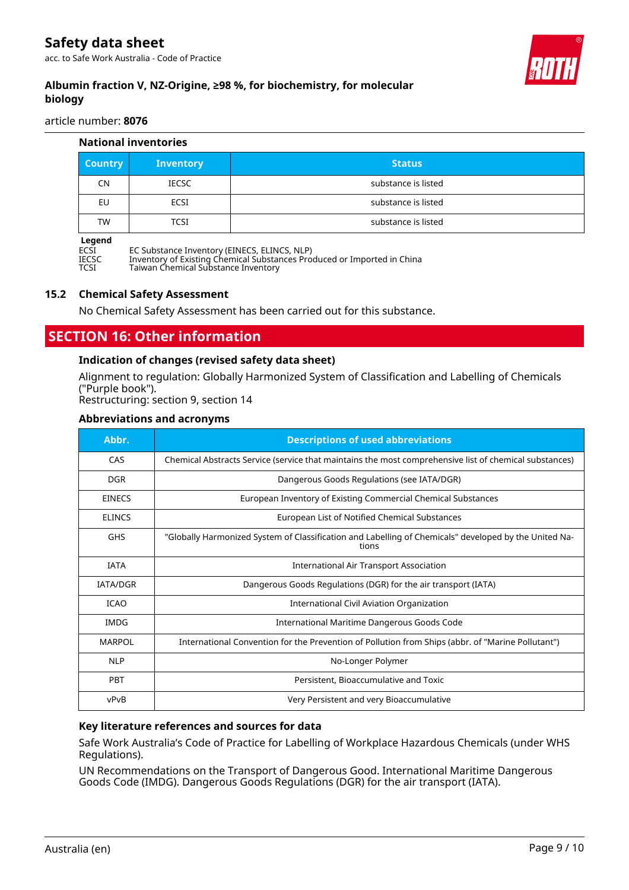

# **Albumin fraction V, NZ-Origine, ≥98 %, for biochemistry, for molecular biology**

article number: **8076**

| <b>National inventories</b> |                                                                                                              |                     |  |
|-----------------------------|--------------------------------------------------------------------------------------------------------------|---------------------|--|
| <b>Country</b>              | <b>Inventory</b>                                                                                             | <b>Status</b>       |  |
| CN                          | <b>IECSC</b>                                                                                                 | substance is listed |  |
| EU                          | <b>ECSI</b>                                                                                                  | substance is listed |  |
| TW                          | <b>TCSI</b>                                                                                                  | substance is listed |  |
| Legend<br><b>FOOT</b>       | $F \cap C$ $\cup$ $\cdots$ $T$ $\cdots$ $T$ $\cdots$ $T$ $\cdots$ $T$ $\cdots$ $T$ $\cdots$ $T$ $\cdots$ $T$ |                     |  |

ECSI EC Substance Inventory (EINECS, ELINCS, NLP)

IECSC Inventory of Existing Chemical Substances Produced or Imported in China

TCSI Taiwan Chemical Substance Inventory

#### **15.2 Chemical Safety Assessment**

No Chemical Safety Assessment has been carried out for this substance.

# **SECTION 16: Other information**

#### **Indication of changes (revised safety data sheet)**

Alignment to regulation: Globally Harmonized System of Classification and Labelling of Chemicals ("Purple book").

Restructuring: section 9, section 14

#### **Abbreviations and acronyms**

| Abbr.           | <b>Descriptions of used abbreviations</b>                                                                      |  |
|-----------------|----------------------------------------------------------------------------------------------------------------|--|
| CAS             | Chemical Abstracts Service (service that maintains the most comprehensive list of chemical substances)         |  |
| <b>DGR</b>      | Dangerous Goods Regulations (see IATA/DGR)                                                                     |  |
| <b>EINECS</b>   | European Inventory of Existing Commercial Chemical Substances                                                  |  |
| <b>ELINCS</b>   | European List of Notified Chemical Substances                                                                  |  |
| <b>GHS</b>      | "Globally Harmonized System of Classification and Labelling of Chemicals" developed by the United Na-<br>tions |  |
| <b>IATA</b>     | International Air Transport Association                                                                        |  |
| <b>IATA/DGR</b> | Dangerous Goods Regulations (DGR) for the air transport (IATA)                                                 |  |
| <b>ICAO</b>     | International Civil Aviation Organization                                                                      |  |
| <b>IMDG</b>     | International Maritime Dangerous Goods Code                                                                    |  |
| <b>MARPOL</b>   | International Convention for the Prevention of Pollution from Ships (abbr. of "Marine Pollutant")              |  |
| <b>NLP</b>      | No-Longer Polymer                                                                                              |  |
| <b>PBT</b>      | Persistent, Bioaccumulative and Toxic                                                                          |  |
| vPvB            | Very Persistent and very Bioaccumulative                                                                       |  |

#### **Key literature references and sources for data**

Safe Work Australia's Code of Practice for Labelling of Workplace Hazardous Chemicals (under WHS Regulations).

UN Recommendations on the Transport of Dangerous Good. International Maritime Dangerous Goods Code (IMDG). Dangerous Goods Regulations (DGR) for the air transport (IATA).